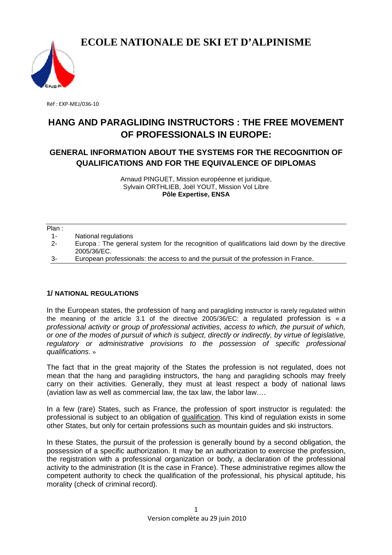

Réf : EXP-MEJ/036-10

# **HANG AND PARAGLIDING PARAGLIDING INSTRUCTORS : THE FREE FREE MOVEMENT OF PROFESSIONALS IN EUROPE:**

## GENERAL INFORMATION ABOUT THE SYSTEMS FOR THE RECOGNITION OF **QUALIFICATIONS AND FOR TH FICATIONS THE EQUIVALENCE OF DIPLOMAS**

Arnaud PINGUET PINGUET, Mission européenne et juridique, Sylvain ORTHLIEB, Joël YOUT, Mission Vol Libre **Pôle Expertise, ENSA** 

#### Plan :

- 1- National regulations
- 2- Europa : The general system for the recognition of qualifications laid down by the directive 2005/36/EC.
- 3- European professionals professionals: the access to and the pursuit of the profession in France.

## **1/ NATIONAL REGULATIONS**

In the European states, the profession of hang and paragliding instructor is rarely regulated within the meaning of the article 3.1 of the directive 2005/36/EC: a regulated profession is  $\kappa a$ professional activity or group of professional activities, access to which, the pursuit of which, or one of the modes of pursuit of which is subject, directly or indirectly, by virtue of legislative, regulatory or administrative provisions to the possession of specific professional qualifications. »

The fact that in the great majority of the States the profession is not regulated, does not mean that the hang and paragliding instructors, the hang and paragliding schools may freely carry on their activities. Generally, they must at least respect a body of national laws (aviation law as well as commercial law, the tax law, the labor law....

In a few (rare) States, such as France, the profession of sport instructor is regulated: the professional is subject to an obligation of qualification. This kind of regulation exists in some other States, but only for certain professions such as mountain g guides and ski instructors.

In these States, the pursuit of the profession is generally bound by a second obligation, the possession of a specific authorization. It may be an authorization to exercise the profession, the registration with a professional organization or body, a declaration of the professional activity to the administration (It is the case in France) France). These administrative regimes allow the competent authority to check the qualification of the professional, his physical aptitude, his morality (check of criminal record).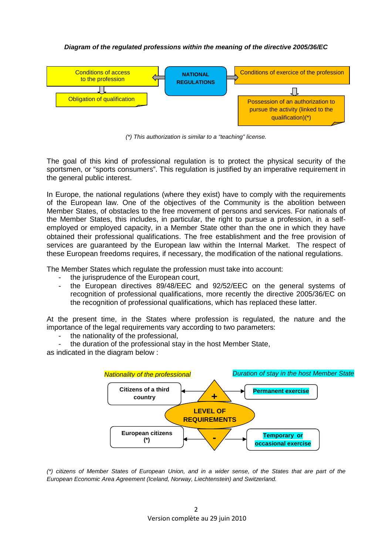### **Diagram of the regulated professions within the meaning of the directive 2005/36/EC**



(\*) This authorization is similar to a "teaching" license.

The goal of this kind of professional regulation is to protect the physical security of the sportsmen, or "sports consumers". This regulation is justified by an imperative requirement in the general public interest.

In Europe, the national regulations (where they exist) have to comply with the requirements of the European law. One of the objectives of the Community is the abolition between Member States, of obstacles to the free movement of persons and services. For nationals of the Member States, this includes, in particular, the right to pursue a profession, in a selfemployed or employed capacity, in a Member State other than the one in which they have obtained their professional qualifications. The free establishment and the free provision of services are guaranteed by the European law within the Internal Market. The respect of these European freedoms requires, if necessary, the modification of the national regulations.

The Member States which regulate the profession must take into account:

- the jurisprudence of the European court,
- the European directives 89/48/EEC and 92/52/EEC on the general systems of recognition of professional qualifications, more recently the directive 2005/36/EC on the recognition of professional qualifications, which has replaced these latter.

At the present time, in the States where profession is regulated, the nature and the importance of the legal requirements vary according to two parameters:

- the nationality of the professional.
- the duration of the professional stay in the host Member State,

as indicated in the diagram below :



(\*) citizens of Member States of European Union, and in a wider sense, of the States that are part of the European Economic Area Agreement (Iceland, Norway, Liechtenstein) and Switzerland.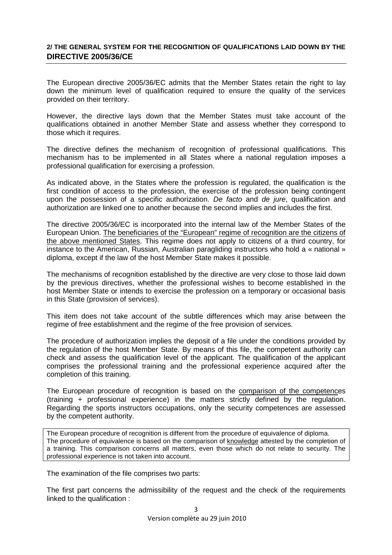## **2/ THE GENERAL SYSTEM FOR THE RECOGNITION OF QUALIFICATIONS LAID DOWN BY THE DIRECTIVE 2005/36/CE**

The European directive 2005/36/EC admits that the Member States retain the right to lay down the minimum level of qualification required to ensure the quality of the services provided on their territory.

However, the directive lays down that the Member States must take account of the qualifications obtained in another Member State and assess whether they correspond to those which it requires.

The directive defines the mechanism of recognition of professional qualifications. This mechanism has to be implemented in all States where a national regulation imposes a professional qualification for exercising a profession.

As indicated above, in the States where the profession is regulated, the qualification is the first condition of access to the profession, the exercise of the profession being contingent upon the possession of a specific authorization. De facto and de jure, qualification and authorization are linked one to another because the second implies and includes the first.

The directive 2005/36/EC is incorporated into the internal law of the Member States of the European Union. The beneficiaries of the "European" regime of recognition are the citizens of the above mentioned States. This regime does not apply to citizens of a third country, for instance to the American, Russian, Australian paragliding instructors who hold a « national » diploma, except if the law of the host Member State makes it possible.

The mechanisms of recognition established by the directive are very close to those laid down by the previous directives, whether the professional wishes to become established in the host Member State or intends to exercise the profession on a temporary or occasional basis in this State (provision of services).

This item does not take account of the subtle differences which may arise between the regime of free establishment and the regime of the free provision of services.

The procedure of authorization implies the deposit of a file under the conditions provided by the regulation of the host Member State. By means of this file, the competent authority can check and assess the qualification level of the applicant. The qualification of the applicant comprises the professional training and the professional experience acquired after the completion of this training.

The European procedure of recognition is based on the comparison of the competences (training + professional experience) in the matters strictly defined by the regulation. Regarding the sports instructors occupations, only the security competences are assessed by the competent authority.

The European procedure of recognition is different from the procedure of equivalence of diploma. The procedure of equivalence is based on the comparison of knowledge attested by the completion of a training. This comparison concerns all matters, even those which do not relate to security. The professional experience is not taken into account.

The examination of the file comprises two parts:

The first part concerns the admissibility of the request and the check of the requirements linked to the qualification :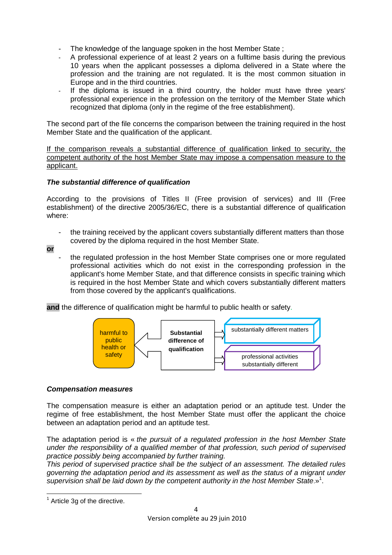- The knowledge of the language spoken in the host Member State ;
- A professional experience of at least 2 years on a fulltime basis during the previous 10 years when the applicant possesses a diploma delivered in a State where the profession and the training are not regulated. It is the most common situation in Europe and in the third countries.
- If the diploma is issued in a third country, the holder must have three years' professional experience in the profession on the territory of the Member State which recognized that diploma (only in the regime of the free establishment).

The second part of the file concerns the comparison between the training required in the host Member State and the qualification of the applicant.

If the comparison reveals a substantial difference of qualification linked to security, the competent authority of the host Member State may impose a compensation measure to the applicant.

## **The substantial difference of qualification**

According to the provisions of Titles II (Free provision of services) and III (Free establishment) of the directive 2005/36/EC, there is a substantial difference of qualification where:

- the training received by the applicant covers substantially different matters than those covered by the diploma required in the host Member State.
- **or**
- the regulated profession in the host Member State comprises one or more regulated professional activities which do not exist in the corresponding profession in the applicant's home Member State, and that difference consists in specific training which is required in the host Member State and which covers substantially different matters from those covered by the applicant's qualifications.

**and** the difference of qualification might be harmful to public health or safety.



## **Compensation measures**

The compensation measure is either an adaptation period or an aptitude test. Under the regime of free establishment, the host Member State must offer the applicant the choice between an adaptation period and an aptitude test.

The adaptation period is « the pursuit of a regulated profession in the host Member State under the responsibility of a qualified member of that profession, such period of supervised practice possibly being accompanied by further training.

This period of supervised practice shall be the subject of an assessment. The detailed rules governing the adaptation period and its assessment as well as the status of a migrant under supervision shall be laid down by the competent authority in the host Member State.»<sup>1</sup>.

 $\overline{a}$ 

 $<sup>1</sup>$  Article 3g of the directive.</sup>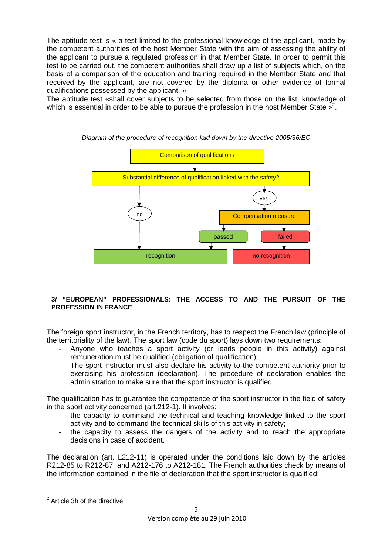The aptitude test is « a test limited to the professional knowledge of the applicant, made by the competent authorities of the host Member State with the aim of assessing the ability of the applicant to pursue a regulated profession in that Member State. In order to permit this test to be carried out, the competent authorities shall draw up a list of subjects which, on the basis of a comparison of the education and training required in the Member State and that received by the applicant, are not covered by the diploma or other evidence of formal qualifications possessed by the applicant. »

The aptitude test «shall cover subjects to be selected from those on the list, knowledge of which is essential in order to be able to pursue the profession in the host Member State  $\frac{1}{2}$ .



### Diagram of the procedure of recognition laid down by the directive 2005/36/EC

### **3/ "EUROPEAN" PROFESSIONALS: THE ACCESS TO AND THE PURSUIT OF THE PROFESSION IN FRANCE**

The foreign sport instructor, in the French territory, has to respect the French law (principle of the territoriality of the law). The sport law (code du sport) lays down two requirements:

- Anyone who teaches a sport activity (or leads people in this activity) against remuneration must be qualified (obligation of qualification);
- The sport instructor must also declare his activity to the competent authority prior to exercising his profession (declaration). The procedure of declaration enables the administration to make sure that the sport instructor is qualified.

The qualification has to guarantee the competence of the sport instructor in the field of safety in the sport activity concerned (art.212-1). It involves:

- the capacity to command the technical and teaching knowledge linked to the sport activity and to command the technical skills of this activity in safety;
- the capacity to assess the dangers of the activity and to reach the appropriate decisions in case of accident.

The declaration (art. L212-11) is operated under the conditions laid down by the articles R212-85 to R212-87, and A212-176 to A212-181. The French authorities check by means of the information contained in the file of declaration that the sport instructor is qualified:

**EXECUTE:**<br><sup>2</sup> Article 3h of the directive.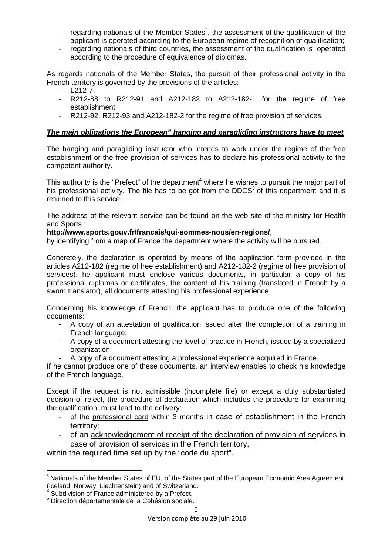- regarding nationals of the Member States<sup>3</sup>, the assessment of the qualification of the applicant is operated according to the European regime of recognition of qualification;
- regarding nationals of third countries, the assessment of the qualification is operated according to the procedure of equivalence of diplomas.

As regards nationals of the Member States, the pursuit of their professional activity in the French territory is governed by the provisions of the articles:

- L212-7,
- R212-88 to R212-91 and A212-182 to A212-182-1 for the regime of free establishment;
- R212-92, R212-93 and A212-182-2 for the regime of free provision of services.

## **The main obligations the European" hanging and paragliding instructors have to meet**

The hanging and paragliding instructor who intends to work under the regime of the free establishment or the free provision of services has to declare his professional activity to the competent authority.

This authority is the "Prefect" of the department<sup>4</sup> where he wishes to pursuit the major part of his professional activity. The file has to be got from the DDCS<sup>5</sup> of this department and it is returned to this service.

The address of the relevant service can be found on the web site of the ministry for Health and Sports :

## **http://www.sports.gouv.fr/francais/qui-sommes-nous/en-regions/**,

by identifying from a map of France the department where the activity will be pursued.

Concretely, the declaration is operated by means of the application form provided in the articles A212-182 (regime of free establishment) and A212-182-2 (regime of free provision of services).The applicant must enclose various documents, in particular a copy of his professional diplomas or certificates, the content of his training (translated in French by a sworn translator), all documents attesting his professional experience.

Concerning his knowledge of French, the applicant has to produce one of the following documents:

- A copy of an attestation of qualification issued after the completion of a training in French language;
- A copy of a document attesting the level of practice in French, issued by a specialized organization;
- A copy of a document attesting a professional experience acquired in France.

If he cannot produce one of these documents, an interview enables to check his knowledge of the French language.

Except if the request is not admissible (incomplete file) or except a duly substantiated decision of reject, the procedure of declaration which includes the procedure for examining the qualification, must lead to the delivery:

- of the professional card within 3 months in case of establishment in the French territory;
- of an acknowledgement of receipt of the declaration of provision of services in case of provision of services in the French territory,

within the required time set up by the "code du sport".

 $\overline{\phantom{0}}$ 

<sup>&</sup>lt;sup>3</sup> Nationals of the Member States of EU, of the States part of the European Economic Area Agreement (Iceland, Norway, Liechtenstein) and of Switzerland.<br><sup>4</sup> Subdivision of France edministered by a Prefect.

Subdivision of France administered by a Prefect.

<sup>5</sup> Direction départementale de la Cohésion sociale.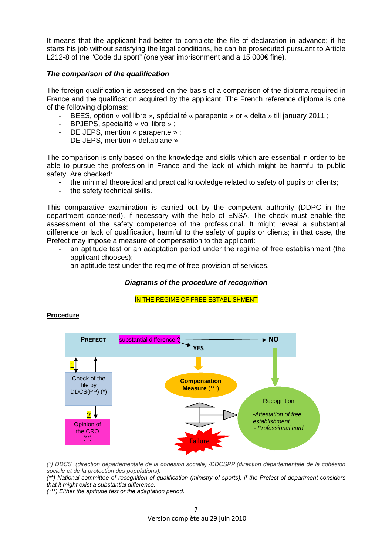It means that the applicant had better to complete the file of declaration in advance; if he starts his job without satisfying the legal conditions, he can be prosecuted pursuant to Article L212-8 of the "Code du sport" (one year imprisonment and a 15 000€ fine).

### **The comparison of the qualification**

The foreign qualification is assessed on the basis of a comparison of the diploma required in France and the qualification acquired by the applicant. The French reference diploma is one of the following diplomas:

- BEES, option « vol libre », spécialité « parapente » or « delta » till january 2011 ;
- BPJEPS, spécialité « vol libre » ;
- DE JEPS, mention « parapente » ;
- DE JEPS, mention « deltaplane ».

The comparison is only based on the knowledge and skills which are essential in order to be able to pursue the profession in France and the lack of which might be harmful to public safety. Are checked:

- the minimal theoretical and practical knowledge related to safety of pupils or clients;
- the safety technical skills.

This comparative examination is carried out by the competent authority (DDPC in the department concerned), if necessary with the help of ENSA. The check must enable the assessment of the safety competence of the professional. It might reveal a substantial difference or lack of qualification, harmful to the safety of pupils or clients; in that case, the Prefect may impose a measure of compensation to the applicant:

- an aptitude test or an adaptation period under the regime of free establishment (the applicant chooses);
- an aptitude test under the regime of free provision of services.

## **Diagrams of the procedure of recognition**

#### IN THE REGIME OF FREE ESTABLISHMENT



## **Procedure**

(\*) DDCS (direction départementale de la cohésion sociale) /DDCSPP (direction départementale de la cohésion sociale et de la protection des populations).

(\*\*) National committee of recognition of qualification (ministry of sports), if the Prefect of department considers that it might exist a substantial difference.

(\*\*\*) Either the aptitude test or the adaptation period.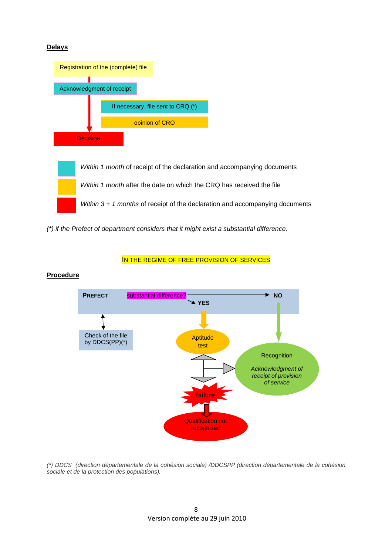### **Delays**



(\*) if the Prefect of department considers that it might exist a substantial difference.

#### IN THE REGIME OF FREE PROVISION OF SERVICES



**Procedure**

(\*) DDCS (direction départementale de la cohésion sociale) /DDCSPP (direction départementale de la cohésion sociale et de la protection des populations).